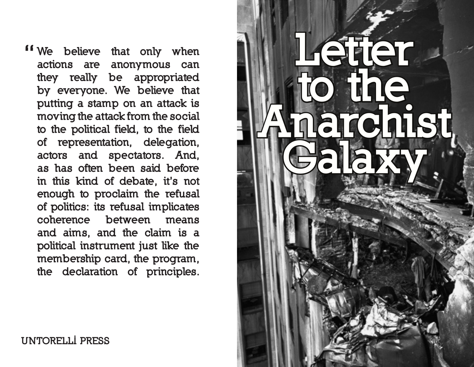**"** We believe that only when actions are anonymous can they really be appropriated by everyone. We believe that putting a stamp on an attack is moving the attack from the social to the political field, to the field of representation, delegation, actors and spectators. And, as has often been said before in this kind of debate, it's not enough to proclaim the refusal of politics: its refusal implicates coherence between means and aims, and the claim is a political instrument just like the membership card, the program, the declaration of principles.



untorelli press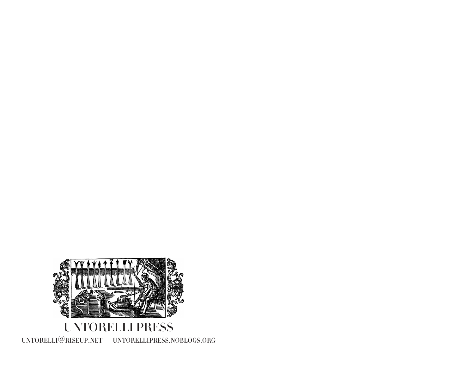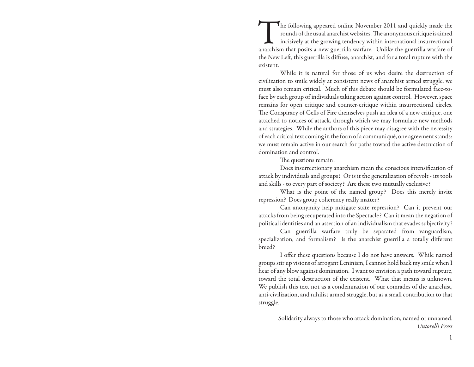The following appeared online November 2011 and quickly made the rounds of the usual anarchist websites. The anonymous critique is aimed incisively at the growing tendency within international insurrectional anarchism that rounds of the usual anarchist websites. The anonymous critique is aimed incisively at the growing tendency within international insurrectional anarchism that posits a new guerrilla warfare. Unlike the guerrilla warfare of the New Left, this guerrilla is diffuse, anarchist, and for a total rupture with the existent.

While it is natural for those of us who desire the destruction of civilization to smile widely at consistent news of anarchist armed struggle, we must also remain critical. Much of this debate should be formulated face-toface by each group of individuals taking action against control. However, space remains for open critique and counter-critique within insurrectional circles. The Conspiracy of Cells of Fire themselves push an idea of a new critique, one attached to notices of attack, through which we may formulate new methods and strategies. While the authors of this piece may disagree with the necessity of each critical text coming in the form of a communiqué, one agreement stands: we must remain active in our search for paths toward the active destruction of domination and control.

The questions remain:

Does insurrectionary anarchism mean the conscious intensification of attack by individuals and groups? Or is it the generalization of revolt - its tools and skills - to every part of society? Are these two mutually exclusive?

What is the point of the named group? Does this merely invite repression? Does group coherency really matter?

Can anonymity help mitigate state repression? Can it prevent our attacks from being recuperated into the Spectacle? Can it mean the negation of political identities and an assertion of an individualism that evades subjectivity?

Can guerrilla warfare truly be separated from vanguardism, specialization, and formalism? Is the anarchist guerrilla a totally different breed?

I offer these questions because I do not have answers. While named groups stir up visions of arrogant Leninism, I cannot hold back my smile when I hear of any blow against domination. I want to envision a path toward rupture, toward the total destruction of the existent. What that means is unknown. We publish this text not as a condemnation of our comrades of the anarchist, anti-civilization, and nihilist armed struggle, but as a small contribution to that struggle.

> Solidarity always to those who attack domination, named or unnamed. *Untorelli Press*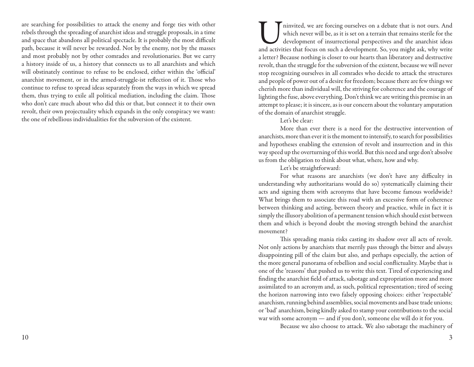are searching for possibilities to attack the enemy and forge ties with other rebels through the spreading of anarchist ideas and struggle proposals, in a time and space that abandons all political spectacle. It is probably the most difficult path, because it will never be rewarded. Not by the enemy, not by the masses and most probably not by other comrades and revolutionaries. But we carry a history inside of us, a history that connects us to all anarchists and which will obstinately continue to refuse to be enclosed, either within the 'official' anarchist movement, or in the armed-struggle-ist reflection of it. Those who continue to refuse to spread ideas separately from the ways in which we spread them, thus trying to exile all political mediation, including the claim. Those who don't care much about who did this or that, but connect it to their own revolt, their own projectuality which expands in the only conspiracy we want: the one of rebellious individualities for the subversion of the existent.

Iminvited, we are forcing ourselves on a debate that is not ours. And which never will be, as it is set on a terrain that remains sterile for the development of insurrectional perspectives and the anarchist ideas and activ which never will be, as it is set on a terrain that remains sterile for the development of insurrectional perspectives and the anarchist ideas a letter? Because nothing is closer to our hearts than liberatory and destructive revolt, than the struggle for the subversion of the existent, because we will never stop recognizing ourselves in all comrades who decide to attack the structures and people of power out of a desire for freedom; because there are few things we cherish more than individual will, the striving for coherence and the courage of lighting the fuse, above everything. Don't think we are writing this premise in an attempt to please; it is sincere, as is our concern about the voluntary amputation of the domain of anarchist struggle.

## Let's be clear:

More than ever there is a need for the destructive intervention of anarchists, more than ever it is the moment to intensify, to search for possibilities and hypotheses enabling the extension of revolt and insurrection and in this way speed up the overturning of this world. But this need and urge don't absolve us from the obligation to think about what, where, how and why.

Let's be straightforward:

For what reasons are anarchists (we don't have any difficulty in understanding why authoritarians would do so) systematically claiming their acts and signing them with acronyms that have become famous worldwide? What brings them to associate this road with an excessive form of coherence between thinking and acting, between theory and practice, while in fact it is simply the illusory abolition of a permanent tension which should exist between them and which is beyond doubt the moving strength behind the anarchist movement?

This spreading mania risks casting its shadow over all acts of revolt. Not only actions by anarchists that merrily pass through the bitter and always disappointing pill of the claim but also, and perhaps especially, the action of the more general panorama of rebellion and social conflictuality. Maybe that is one of the 'reasons' that pushed us to write this text. Tired of experiencing and finding the anarchist field of attack, sabotage and expropriation more and more assimilated to an acronym and, as such, political representation; tired of seeing the horizon narrowing into two falsely opposing choices: either 'respectable' anarchism, running behind assemblies, social movements and base trade unions; or 'bad' anarchism, being kindly asked to stamp your contributions to the social war with some acronym — and if you don't, someone else will do it for you.

Because we also choose to attack. We also sabotage the machinery of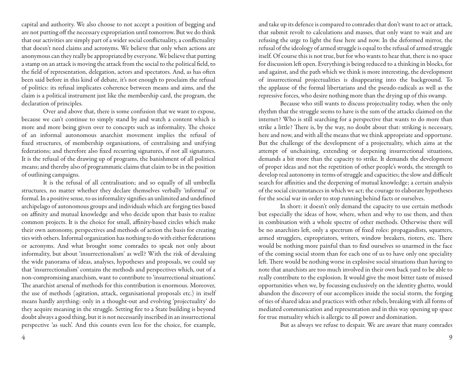capital and authority. We also choose to not accept a position of begging and are not putting off the necessary expropriation until tomorrow. But we do think that our activities are simply part of a wider social conflictuality, a conflictuality that doesn't need claims and acronyms. We believe that only when actions are anonymous can they really be appropriated by everyone. We believe that putting a stamp on an attack is moving the attack from the social to the political field, to the field of representation, delegation, actors and spectators. And, as has often been said before in this kind of debate, it's not enough to proclaim the refusal of politics: its refusal implicates coherence between means and aims, and the claim is a political instrument just like the membership card, the program, the declaration of principles.

Over and above that, there is some confusion that we want to expose, because we can't continue to simply stand by and watch a content which is more and more being given over to concepts such as informality. The choice of an informal autonomous anarchist movement implies the refusal of fixed structures, of membership organisations, of centralising and unifying federations; and therefore also fixed recurring signatures, if not all signatures. It is the refusal of the drawing up of programs, the banishment of all political means; and thereby also of programmatic claims that claim to be in the position of outlining campaigns.

It is the refusal of all centralisation; and so equally of all umbrella structures, no matter whether they declare themselves verbally 'informal' or formal. In a positive sense, to us informality signifies an unlimited and undefined archipelago of autonomous groups and individuals which are forging ties based on affinity and mutual knowledge and who decide upon that basis to realize common projects. It is the choice for small, affinity-based circles which make their own autonomy, perspectives and methods of action the basis for creating ties with others. Informal organization has nothing to do with either federations or acronyms. And what brought some comrades to speak not only about informality, but about 'insurrectionalism' as well? With the risk of devaluing the wide panorama of ideas, analyses, hypotheses and proposals, we could say that 'insurrectionalism' contains the methods and perspectives which, out of a non-compromising anarchism, want to contribute to 'insurrectional situations'. The anarchist arsenal of methods for this contribution is enormous. Moreover, the use of methods (agitation, attack, organisational proposals etc.) in itself means hardly anything: only in a thought-out and evolving 'projectuality' do they acquire meaning in the struggle. Setting fire to a State building is beyond doubt always a good thing, but it is not necessarily inscribed in an insurrectional perspective 'as such'. And this counts even less for the choice, for example,

and take up its defence is compared to comrades that don't want to act or attack, that submit revolt to calculations and masses, that only want to wait and are refusing the urge to light the fuse here and now. In the deformed mirror, the refusal of the ideology of armed struggle is equal to the refusal of armed struggle itself. Of course this is not true, but for who wants to hear that, there is no space for discussion left open. Everything is being reduced to a thinking in blocks, for and against, and the path which we think is more interesting, the development of insurrectional projectualities is disappearing into the background. To the applause of the formal libertarians and the pseudo-radicals as well as the repressive forces, who desire nothing more than the drying up of this swamp.

Because who still wants to discuss projectuality today, when the only rhythm that the struggle seems to have is the sum of the attacks claimed on the internet? Who is still searching for a perspective that wants to do more than strike a little? There is, by the way, no doubt about that: striking is necessary, here and now, and with all the means that we think appropriate and opportune. But the challenge of the development of a projectuality, which aims at the attempt of unchaining, extending or deepening insurrectional situations, demands a bit more than the capacity to strike. It demands the development of proper ideas and not the repetition of other people's words, the strength to develop real autonomy in terms of struggle and capacities; the slow and difficult search for affinities and the deepening of mutual knowledge; a certain analysis of the social circumstances in which we act; the courage to elaborate hypotheses for the social war in order to stop running behind facts or ourselves.

In short: it doesn't only demand the capacity to use certain methods but especially the ideas of how, where, when and why to use them, and then in combination with a whole spectre of other methods. Otherwise there will be no anarchists left, only a spectrum of fixed roles: propagandists, squatters, armed strugglers, expropriators, writers, window breakers, rioters, etc. There would be nothing more painful than to find ourselves so unarmed in the face of the coming social storm than for each one of us to have only one speciality left. There would be nothing worse in explosive social situations than having to note that anarchists are too much involved in their own back yard to be able to really contribute to the explosion. It would give the most bitter taste of missed opportunities when we, by focussing exclusively on the identity ghetto, would abandon the discovery of our accomplices inside the social storm, the forging of ties of shared ideas and practices with other rebels, breaking with all forms of mediated communication and representation and in this way opening up space for true mutuality which is allergic to all power and domination.

But as always we refuse to despair. We are aware that many comrades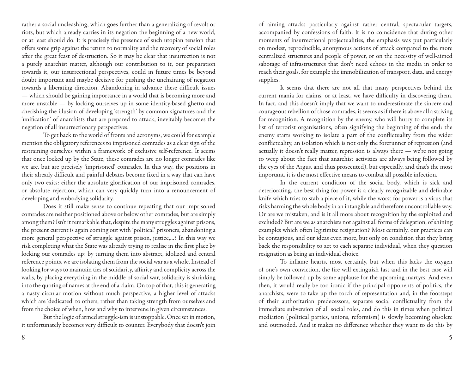rather a social uncleashing, which goes further than a generalizing of revolt or riots, but which already carries in its negation the beginning of a new world, or at least should do. It is precisely the presence of such utopian tension that offers some grip against the return to normality and the recovery of social roles after the great feast of destruction. So it may be clear that insurrection is not a purely anarchist matter, although our contribution to it, our preparation towards it, our insurrectional perspectives, could in future times be beyond doubt important and maybe decisive for pushing the unchaining of negation towards a liberating direction. Abandoning in advance these difficult issues — which should be gaining importance in a world that is becoming more and more unstable — by locking ourselves up in some identity-based ghetto and cherishing the illusion of developing 'strength' by common signatures and the 'unification' of anarchists that are prepared to attack, inevitably becomes the negation of all insurrectionary perspectives.

To get back to the world of fronts and acronyms, we could for example mention the obligatory references to imprisoned comrades as a clear sign of the restraining ourselves within a framework of exclusive self-reference. It seems that once locked up by the State, these comrades are no longer comrades like we are, but are precisely 'imprisoned' comrades. In this way, the positions in their already difficult and painful debates become fixed in a way that can have only two exits: either the absolute glorification of our imprisoned comrades, or absolute rejection, which can very quickly turn into a renouncement of developing and embodying solidarity.

Does it still make sense to continue repeating that our imprisoned comrades are neither positioned above or below other comrades, but are simply among them? Isn't it remarkable that, despite the many struggles against prisons, the present current is again coming out with 'political' prisoners, abandoning a more general perspective of struggle against prison, justice,...? In this way we risk completing what the State was already trying to realise in the first place by locking our comrades up: by turning them into abstract, idolized and central reference points, we are isolating them from the social war as a whole. Instead of looking for ways to maintain ties of solidarity, affinity and complicity across the walls, by placing everything in the middle of social war, solidarity is shrinking into the quoting of names at the end of a claim. On top of that, this is generating a nasty circular motion without much perspective, a higher level of attacks which are 'dedicated' to others, rather than taking strength from ourselves and from the choice of when, how and why to intervene in given circumstances.

But the logic of armed struggle-ism is unstoppable. Once set in motion, it unfortunately becomes very difficult to counter. Everybody that doesn't join of aiming attacks particularly against rather central, spectacular targets, accompanied by confessions of faith. It is no coincidence that during other moments of insurrectional projectualities, the emphasis was put particularly on modest, reproducible, anonymous actions of attack compared to the more centralized structures and people of power, or on the necessity of well-aimed sabotage of infrastructures that don't need echoes in the media in order to reach their goals, for example the immobilization of transport, data, and energy supplies.

It seems that there are not all that many perspectives behind the current mania for claims, or at least, we have difficulty in discovering them. In fact, and this doesn't imply that we want to underestimate the sincere and courageous rebellion of those comrades, it seems as if there is above all a striving for recognition. A recognition by the enemy, who will hurry to complete its list of terrorist organisations, often signifying the beginning of the end: the enemy starts working to isolate a part of the conflictuality from the wider conflictuality, an isolation which is not only the forerunner of repression (and actually it doesn't really matter, repression is always there — we're not going to weep about the fact that anarchist activities are always being followed by the eyes of the Argus, and thus prosecuted), but especially, and that's the most important, it is the most effective means to combat all possible infection.

In the current condition of the social body, which is sick and deteriorating, the best thing for power is a clearly recognizable and definable knife which tries to stab a piece of it, while the worst for power is a virus that risks harming the whole body in an intangible and therefore uncontrollable way. Or are we mistaken, and is it all more about recognition by the exploited and excluded? But are we as anarchists not against all forms of delegation, of shining examples which often legitimize resignation? Most certainly, our practices can be contagious, and our ideas even more, but only on condition that they bring back the responsibility to act to each separate individual, when they question resignation as being an individual choice.

To inflame hearts, most certainly, but when this lacks the oxygen of one's own conviction, the fire will extinguish fast and in the best case will simply be followed up by some applause for the upcoming martyrs. And even then, it would really be too ironic if the principal opponents of politics, the anarchists, were to take up the torch of representation and, in the footsteps of their authoritarian predecessors, separate social conflictuality from the immediate subversion of all social roles, and do this in times when political mediation (political parties, unions, reformism) is slowly becoming obsolete and outmoded. And it makes no difference whether they want to do this by